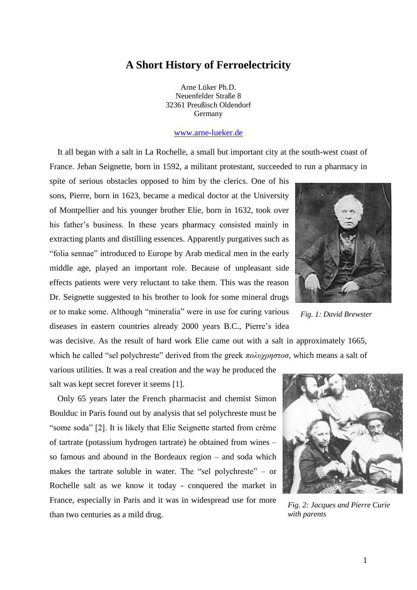## **A Short History of Ferroelectricity**

Arne Lüker Ph.D. Neuenfelder Straße 8 32361 Preußisch Oldendorf Germany

## [www.arne-lueker.de](http://www.arne-lueker.de/)

It all began with a salt in La Rochelle, a small but important city at the south-west coast of France. Jehan Seignette, born in 1592, a militant protestant, succeeded to run a pharmacy in

spite of serious obstacles opposed to him by the clerics. One of his sons, Pierre, born in 1623, became a medical doctor at the University of Montpellier and his younger brother Elie, born in 1632, took over his father's business. In these years pharmacy consisted mainly in extracting plants and distilling essences. Apparently purgatives such as "folia sennae" introduced to Europe by Arab medical men in the early middle age, played an important role. Because of unpleasant side effects patients were very reluctant to take them. This was the reason Dr. Seignette suggested to his brother to look for some mineral drugs or to make some. Although "mineralia" were in use for curing various diseases in eastern countries already 2000 years B.C., Pierre's idea

was decisive. As the result of hard work Elie came out with a salt in approximately 1665, which he called "sel polychreste" derived from the greek *πολυχρηστοσ*, which means a salt of

various utilities. It was a real creation and the way he produced the salt was kept secret forever it seems [1].

Only 65 years later the French pharmacist and chemist Simon Boulduc in Paris found out by analysis that sel polychreste must be "some soda" [2]. It is likely that Elie Seignette started from crème of tartrate (potassium hydrogen tartrate) he obtained from wines – so famous and abound in the Bordeaux region – and soda which makes the tartrate soluble in water. The "sel polychreste" – or Rochelle salt as we know it today - conquered the market in France, especially in Paris and it was in widespread use for more than two centuries as a mild drug.



*Fig. 1: David Brewster*



*Fig. 2: Jacques and Pierre Curie with parents*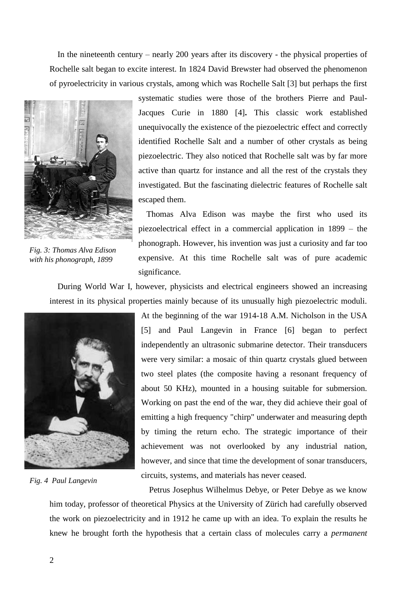In the nineteenth century – nearly 200 years after its discovery - the physical properties of Rochelle salt began to excite interest. In 1824 David Brewster had observed the phenomenon of pyroelectricity in various crystals, among which was Rochelle Salt [3] but perhaps the first



*Fig. 3: Thomas Alva Edison with his phonograph, 1899*

systematic studies were those of the brothers Pierre and Paul-Jacques Curie in 1880 [4]**.** This classic work established unequivocally the existence of the piezoelectric effect and correctly identified Rochelle Salt and a number of other crystals as being piezoelectric. They also noticed that Rochelle salt was by far more active than quartz for instance and all the rest of the crystals they investigated. But the fascinating dielectric features of Rochelle salt escaped them.

Thomas Alva Edison was maybe the first who used its piezoelectrical effect in a commercial application in 1899 – the phonograph. However, his invention was just a curiosity and far too expensive. At this time Rochelle salt was of pure academic significance.

During World War I, however, physicists and electrical engineers showed an increasing interest in its physical properties mainly because of its unusually high piezoelectric moduli.



*Fig. 4 Paul Langevin*

At the beginning of the war 1914-18 A.M. Nicholson in the USA [5] and Paul Langevin in France [6] began to perfect independently an ultrasonic submarine detector. Their transducers were very similar: a mosaic of thin quartz crystals glued between two steel plates (the composite having a resonant frequency of about 50 KHz), mounted in a housing suitable for submersion. Working on past the end of the war, they did achieve their goal of emitting a high frequency "chirp" underwater and measuring depth by timing the return echo. The strategic importance of their achievement was not overlooked by any industrial nation, however, and since that time the development of sonar transducers, circuits, systems, and materials has never ceased.

Petrus Josephus Wilhelmus Debye, or Peter Debye as we know him today, professor of theoretical Physics at the University of Zürich had carefully observed the work on piezoelectricity and in 1912 he came up with an idea. To explain the results he knew he brought forth the hypothesis that a certain class of molecules carry a *permanent*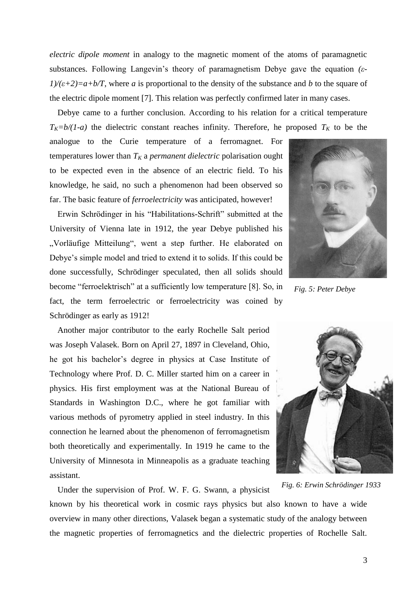*electric dipole moment* in analogy to the magnetic moment of the atoms of paramagnetic substances. Following Langevin's theory of paramagnetism Debye gave the equation *(ε-* $1/(\varepsilon+2)=a+b/T$ , where *a* is proportional to the density of the substance and *b* to the square of the electric dipole moment [7]. This relation was perfectly confirmed later in many cases.

Debye came to a further conclusion. According to his relation for a critical temperature  $T_K = b/(1-a)$  the dielectric constant reaches infinity. Therefore, he proposed  $T_K$  to be the

analogue to the Curie temperature of a ferromagnet. For temperatures lower than  $T_K$  a *permanent dielectric* polarisation ought to be expected even in the absence of an electric field. To his knowledge, he said, no such a phenomenon had been observed so far. The basic feature of *ferroelectricity* was anticipated, however!

Erwin Schrödinger in his "Habilitations-Schrift" submitted at the University of Vienna late in 1912, the year Debye published his "Vorläufige Mitteilung", went a step further. He elaborated on Debye's simple model and tried to extend it to solids. If this could be done successfully, Schrödinger speculated, then all solids should become "ferroelektrisch" at a sufficiently low temperature [8]. So, in fact, the term ferroelectric or ferroelectricity was coined by Schrödinger as early as 1912!

Another major contributor to the early Rochelle Salt period was Joseph Valasek. Born on April 27, 1897 in Cleveland, Ohio, he got his bachelor's degree in physics at Case Institute of Technology where Prof. D. C. Miller started him on a career in physics. His first employment was at the National Bureau of Standards in Washington D.C., where he got familiar with various methods of pyrometry applied in steel industry. In this connection he learned about the phenomenon of ferromagnetism both theoretically and experimentally. In 1919 he came to the University of Minnesota in Minneapolis as a graduate teaching assistant.



*Fig. 5: Peter Debye*



*Fig. 6: Erwin Schrödinger 1933*

Under the supervision of Prof. W. F. G. Swann, a physicist known by his theoretical work in cosmic rays physics but also known to have a wide overview in many other directions, Valasek began a systematic study of the analogy between the magnetic properties of ferromagnetics and the dielectric properties of Rochelle Salt.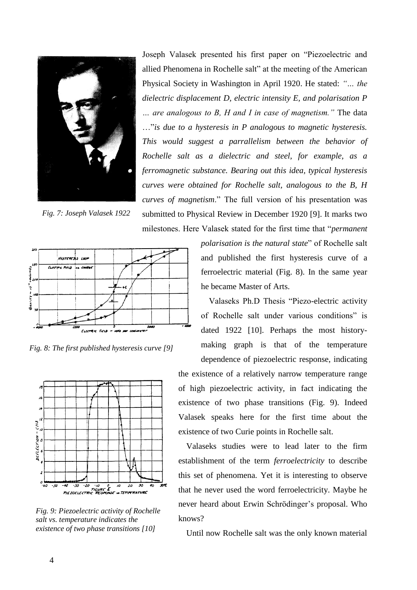

*Fig. 7: Joseph Valasek 1922*

Joseph Valasek presented his first paper on "Piezoelectric and allied Phenomena in Rochelle salt" at the meeting of the American Physical Society in Washington in April 1920. He stated: *"… the dielectric displacement D, electric intensity E, and polarisation P … are analogous to B, H and I in case of magnetism."* The data …"*is due to a hysteresis in P analogous to magnetic hysteresis. This would suggest a parrallelism between the behavior of Rochelle salt as a dielectric and steel, for example, as a ferromagnetic substance. Bearing out this idea, typical hysteresis curves were obtained for Rochelle salt, analogous to the B, H curves of magnetism*." The full version of his presentation was submitted to Physical Review in December 1920 [9]. It marks two milestones. Here Valasek stated for the first time that "*permanent* 



*Fig. 8: The first published hysteresis curve [9]*



*Fig. 9: Piezoelectric activity of Rochelle salt vs. temperature indicates the existence of two phase transitions [10]*

*polarisation is the natural state*" of Rochelle salt and published the first hysteresis curve of a ferroelectric material (Fig. 8). In the same year he became Master of Arts.

Valaseks Ph.D Thesis "Piezo-electric activity of Rochelle salt under various conditions" is dated 1922 [10]. Perhaps the most historymaking graph is that of the temperature dependence of piezoelectric response, indicating the existence of a relatively narrow temperature range of high piezoelectric activity, in fact indicating the existence of two phase transitions (Fig. 9). Indeed Valasek speaks here for the first time about the existence of two Curie points in Rochelle salt.

Valaseks studies were to lead later to the firm establishment of the term *ferroelectricity* to describe this set of phenomena. Yet it is interesting to observe that he never used the word ferroelectricity. Maybe he never heard about Erwin Schrödinger's proposal. Who knows?

Until now Rochelle salt was the only known material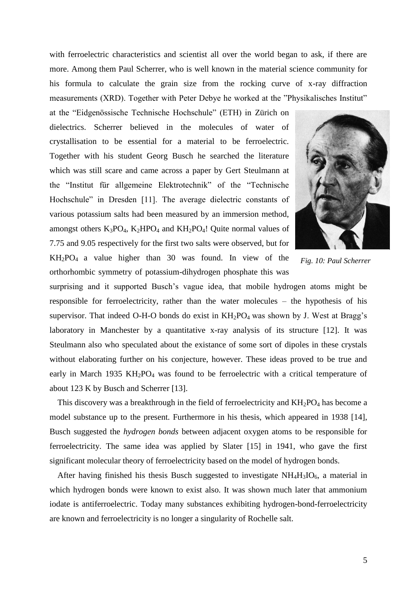with ferroelectric characteristics and scientist all over the world began to ask, if there are more. Among them Paul Scherrer, who is well known in the material science community for his formula to calculate the grain size from the rocking curve of x-ray diffraction measurements (XRD). Together with Peter Debye he worked at the "Physikalisches Institut"

at the "Eidgenössische Technische Hochschule" (ETH) in Zürich on dielectrics. Scherrer believed in the molecules of water of crystallisation to be essential for a material to be ferroelectric. Together with his student Georg Busch he searched the literature which was still scare and came across a paper by Gert Steulmann at the "Institut für allgemeine Elektrotechnik" of the "Technische Hochschule" in Dresden [11]. The average dielectric constants of various potassium salts had been measured by an immersion method, amongst others  $K_3PO_4$ ,  $K_2HPO_4$  and  $KH_2PO_4!$  Quite normal values of 7.75 and 9.05 respectively for the first two salts were observed, but for  $KH_2PO_4$  a value higher than 30 was found. In view of the

orthorhombic symmetry of potassium-dihydrogen phosphate this was



*Fig. 10: Paul Scherrer*

surprising and it supported Busch's vague idea, that mobile hydrogen atoms might be responsible for ferroelectricity, rather than the water molecules – the hypothesis of his supervisor. That indeed O-H-O bonds do exist in  $KH_2PO_4$  was shown by J. West at Bragg's laboratory in Manchester by a quantitative x-ray analysis of its structure  $[12]$ . It was Steulmann also who speculated about the existance of some sort of dipoles in these crystals without elaborating further on his conjecture, however. These ideas proved to be true and early in March 1935  $KH_2PO_4$  was found to be ferroelectric with a critical temperature of about 123 K by Busch and Scherrer [13].

This discovery was a breakthrough in the field of ferroelectricity and  $KH_2PO_4$  has become a model substance up to the present. Furthermore in his thesis, which appeared in 1938 [14], Busch suggested the *hydrogen bonds* between adjacent oxygen atoms to be responsible for ferroelectricity. The same idea was applied by Slater [15] in 1941, who gave the first significant molecular theory of ferroelectricity based on the model of hydrogen bonds.

After having finished his thesis Busch suggested to investigate  $NH<sub>4</sub>H<sub>3</sub>IO<sub>6</sub>$ , a material in which hydrogen bonds were known to exist also. It was shown much later that ammonium iodate is antiferroelectric. Today many substances exhibiting hydrogen-bond-ferroelectricity are known and ferroelectricity is no longer a singularity of Rochelle salt.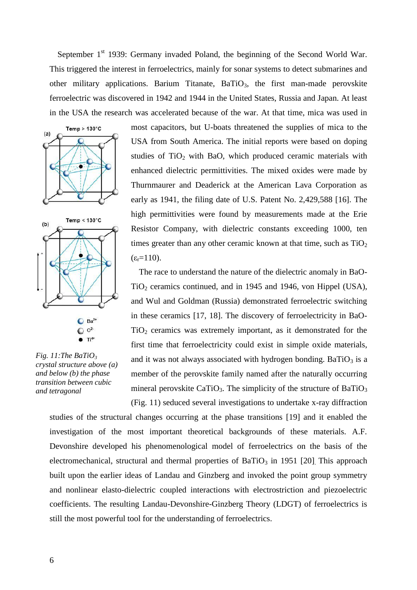September 1<sup>st</sup> 1939: Germany invaded Poland, the beginning of the Second World War. This triggered the interest in ferroelectrics, mainly for sonar systems to detect submarines and other military applications. Barium Titanate,  $BaTiO<sub>3</sub>$ , the first man-made perovskite ferroelectric was discovered in 1942 and 1944 in the United States, Russia and Japan. At least in the USA the research was accelerated because of the war. At that time, mica was used in





most capacitors, but U-boats threatened the supplies of mica to the USA from South America. The initial reports were based on doping studies of  $TiO<sub>2</sub>$  with BaO, which produced ceramic materials with enhanced dielectric permittivities. The mixed oxides were made by Thurnmaurer and Deaderick at the American Lava Corporation as early as 1941, the filing date of U.S. Patent No. 2,429,588 [16]. The high permittivities were found by measurements made at the Erie Resistor Company, with dielectric constants exceeding 1000, ten times greater than any other ceramic known at that time, such as  $TiO<sub>2</sub>$  $(\epsilon = 110)$ .

The race to understand the nature of the dielectric anomaly in BaO-TiO<sup>2</sup> ceramics continued, and in 1945 and 1946, von Hippel (USA), and Wul and Goldman (Russia) demonstrated ferroelectric switching in these ceramics [17, 18]. The discovery of ferroelectricity in BaO- $TiO<sub>2</sub>$  ceramics was extremely important, as it demonstrated for the first time that ferroelectricity could exist in simple oxide materials, and it was not always associated with hydrogen bonding. Ba $TiO<sub>3</sub>$  is a member of the perovskite family named after the naturally occurring mineral perovskite CaTiO<sub>3</sub>. The simplicity of the structure of BaTiO<sub>3</sub> (Fig. 11) seduced several investigations to undertake x-ray diffraction

*Fig. 11:The BaTiO<sup>3</sup> crystal structure above (a) and below (b) the phase transition between cubic and tetragonal*

studies of the structural changes occurring at the phase transitions [19] and it enabled the investigation of the most important theoretical backgrounds of these materials. A.F. Devonshire developed his phenomenological model of ferroelectrics on the basis of the electromechanical, structural and thermal properties of BaTiO<sub>3</sub> in 1951 [20]. This approach built upon the earlier ideas of Landau and Ginzberg and invoked the point group symmetry and nonlinear elasto-dielectric coupled interactions with electrostriction and piezoelectric coefficients. The resulting Landau-Devonshire-Ginzberg Theory (LDGT) of ferroelectrics is still the most powerful tool for the understanding of ferroelectrics.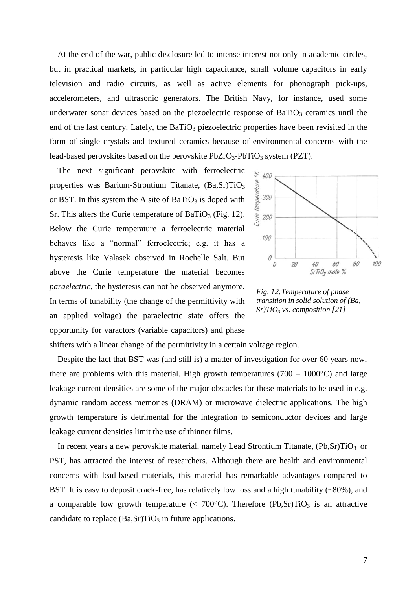At the end of the war, public disclosure led to intense interest not only in academic circles, but in practical markets, in particular high capacitance, small volume capacitors in early television and radio circuits, as well as active elements for phonograph pick-ups, accelerometers, and ultrasonic generators. The British Navy, for instance, used some underwater sonar devices based on the piezoelectric response of  $BaTiO<sub>3</sub>$  ceramics until the end of the last century. Lately, the  $BaTiO<sub>3</sub>$  piezoelectric properties have been revisited in the form of single crystals and textured ceramics because of environmental concerns with the lead-based perovskites based on the perovskite  $PbZrO_3-PbTiO_3$  system (PZT).

The next significant perovskite with ferroelectric properties was Barium-Strontium Titanate, (Ba,Sr)TiO<sub>3</sub> or BST. In this system the A site of  $BaTiO<sub>3</sub>$  is doped with Sr. This alters the Curie temperature of BaTiO<sub>3</sub> (Fig. 12). Below the Curie temperature a ferroelectric material behaves like a "normal" ferroelectric; e.g. it has a hysteresis like Valasek observed in Rochelle Salt. But above the Curie temperature the material becomes *paraelectric*, the hysteresis can not be observed anymore. In terms of tunability (the change of the permittivity with an applied voltage) the paraelectric state offers the opportunity for varactors (variable capacitors) and phase



*Fig. 12:Temperature of phase transition in solid solution of (Ba, Sr)TiO<sup>3</sup> vs. composition [21]*

shifters with a linear change of the permittivity in a certain voltage region.

Despite the fact that BST was (and still is) a matter of investigation for over 60 years now, there are problems with this material. High growth temperatures ( $700 - 1000^{\circ}$ C) and large leakage current densities are some of the major obstacles for these materials to be used in e.g. dynamic random access memories (DRAM) or microwave dielectric applications. The high growth temperature is detrimental for the integration to semiconductor devices and large leakage current densities limit the use of thinner films.

In recent years a new perovskite material, namely Lead Strontium Titanate,  $(Pb, Sr)TiO<sub>3</sub>$  or PST, has attracted the interest of researchers. Although there are health and environmental concerns with lead-based materials, this material has remarkable advantages compared to BST. It is easy to deposit crack-free, has relatively low loss and a high tunability (~80%), and a comparable low growth temperature  $\langle \langle 700^{\circ} \text{C} \rangle$ . Therefore  $\langle \text{Pb,Sr} \rangle \text{TiO}_3$  is an attractive candidate to replace  $(Ba, Sr)TiO<sub>3</sub>$  in future applications.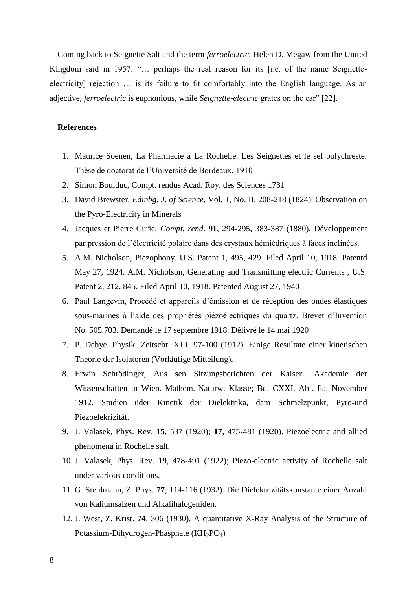Coming back to Seignette Salt and the term *ferroelectric*, Helen D. Megaw from the United Kingdom said in 1957: "… perhaps the real reason for its [i.e. of the name Seignetteelectricity] rejection … is its failure to fit comfortably into the English language. As an adjective, *ferroelectric* is euphonious, while *Seignette-electric* grates on the ear" [22].

## **References**

- 1. Maurice Soenen, La Pharmacie à La Rochelle. Les Seignettes et le sel polychreste. Thèse de doctorat de l'Université de Bordeaux, 1910
- 2. Simon Boulduc, Compt. rendus Acad. Roy. des Sciences 1731
- 3. David Brewster, *Edinbg. J. of Science*, Vol. 1, No. II. 208-218 (1824). Observation on the Pyro-Electricity in Minerals
- 4. Jacques et Pierre Curie, *Compt. rend*. **91**, 294-295, 383-387 (1880). Développement par pression de l'électricité polaire dans des crystaux hémiédriques à faces inclinées.
- 5. A.M. Nicholson, Piezophony. U.S. Patent 1, 495, 429. Filed April 10, 1918. Patentd May 27, 1924. A.M. Nicholson, Generating and Transmitting electric Currents , U.S. Patent 2, 212, 845. Filed April 10, 1918. Patented August 27, 1940
- 6. Paul Langevin, Procédé et appareils d'émission et de réception des ondes élastiques sous-marines à l'aide des propriétés piézoélectriques du quartz. Brevet d'Invention No. 505,703. Demandé le 17 septembre 1918. Délivré le 14 mai 1920
- 7. P. Debye, Physik. Zeitschr. XIII, 97-100 (1912). Einige Resultate einer kinetischen Theorie der Isolatoren (Vorläufige Mitteilung).
- 8. Erwin Schrödinger, Aus sen Sitzungsberichten der Kaiserl. Akademie der Wissenschaften in Wien. Mathem.-Naturw. Klasse; Bd. CXXI, Abt. Iia, November 1912. Studien üder Kinetik der Dielektrika, dam Schmelzpunkt, Pyro-und Piezoelekrizität.
- 9. J. Valasek, Phys. Rev. **15**, 537 (1920); **17**, 475-481 (1920). Piezoelectric and allied phenomena in Rochelle salt.
- 10. J. Valasek, Phys. Rev. **19**, 478-491 (1922); Piezo-electric activity of Rochelle salt under various conditions.
- 11. G. Steulmann, Z. Phys. **77**, 114-116 (1932). Die Dielektrizitätskonstante einer Anzahl von Kaliumsalzen und Alkalihalogeniden.
- 12. J. West, Z. Krist. **74**, 306 (1930). A quantitative X-Ray Analysis of the Structure of Potassium-Dihydrogen-Phasphate  $(KH_2PO_4)$